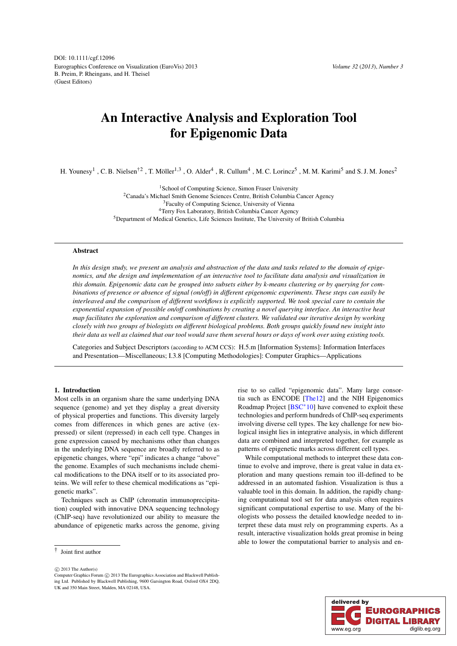<span id="page-0-0"></span>Eurographics Conference on Visualization (EuroVis) 2013 B. Preim, P. Rheingans, and H. Theisel (Guest Editors) DOI: 10.1111/cgf.12096

# An Interactive Analysis and Exploration Tool for Epigenomic Data

H. Younesy<sup>1</sup>, C. B. Nielsen<sup>†2</sup>, T. Möller<sup>1,3</sup>, O. Alder<sup>4</sup>, R. Cullum<sup>4</sup>, M. C. Lorincz<sup>5</sup>, M. M. Karimi<sup>5</sup> and S. J. M. Jones<sup>2</sup>

<sup>1</sup> School of Computing Science, Simon Fraser University 2Canada's Michael Smith Genome Sciences Centre, British Columbia Cancer Agency <sup>3</sup>Faculty of Computing Science, University of Vienna 4Terry Fox Laboratory, British Columbia Cancer Agency 5Department of Medical Genetics, Life Sciences Institute, The University of British Columbia

## Abstract

*In this design study, we present an analysis and abstraction of the data and tasks related to the domain of epigenomics, and the design and implementation of an interactive tool to facilitate data analysis and visualization in this domain. Epigenomic data can be grouped into subsets either by k-means clustering or by querying for combinations of presence or absence of signal (on/off) in different epigenomic experiments. These steps can easily be interleaved and the comparison of different workflows is explicitly supported. We took special care to contain the exponential expansion of possible on/off combinations by creating a novel querying interface. An interactive heat map facilitates the exploration and comparison of different clusters. We validated our iterative design by working closely with two groups of biologists on different biological problems. Both groups quickly found new insight into their data as well as claimed that our tool would save them several hours or days of work over using existing tools.*

Categories and Subject Descriptors (according to ACM CCS): H.5.m [Information Systems]: Information Interfaces and Presentation—Miscellaneous; I.3.8 [Computing Methodologies]: Computer Graphics—Applications

# 1. Introduction

Most cells in an organism share the same underlying DNA sequence (genome) and yet they display a great diversity of physical properties and functions. This diversity largely comes from differences in which genes are active (expressed) or silent (repressed) in each cell type. Changes in gene expression caused by mechanisms other than changes in the underlying DNA sequence are broadly referred to as epigenetic changes, where "epi" indicates a change "above" the genome. Examples of such mechanisms include chemical modifications to the DNA itself or to its associated proteins. We will refer to these chemical modifications as "epigenetic marks".

Techniques such as ChIP (chromatin immunoprecipitation) coupled with innovative DNA sequencing technology (ChIP-seq) have revolutionized our ability to measure the abundance of epigenetic marks across the genome, giving

 $\odot$  2013 The Author(s)

rise to so called "epigenomic data". Many large consortia such as ENCODE [\[The12\]](#page-9-0) and the NIH Epigenomics Roadmap Project [\[BSC](#page-9-1)∗10] have convened to exploit these technologies and perform hundreds of ChIP-seq experiments involving diverse cell types. The key challenge for new biological insight lies in integrative analysis, in which different data are combined and interpreted together, for example as patterns of epigenetic marks across different cell types.

While computational methods to interpret these data continue to evolve and improve, there is great value in data exploration and many questions remain too ill-defined to be addressed in an automated fashion. Visualization is thus a valuable tool in this domain. In addition, the rapidly changing computational tool set for data analysis often requires significant computational expertise to use. Many of the biologists who possess the detailed knowledge needed to interpret these data must rely on programming experts. As a result, interactive visualization holds great promise in being able to lower the computational barrier to analysis and en-



<sup>†</sup> Joint first author

Computer Graphics Forum  $\odot$  2013 The Eurographics Association and Blackwell Publishing Ltd. Published by Blackwell Publishing, 9600 Garsington Road, Oxford OX4 2DQ, UK and 350 Main Street, Malden, MA 02148, USA.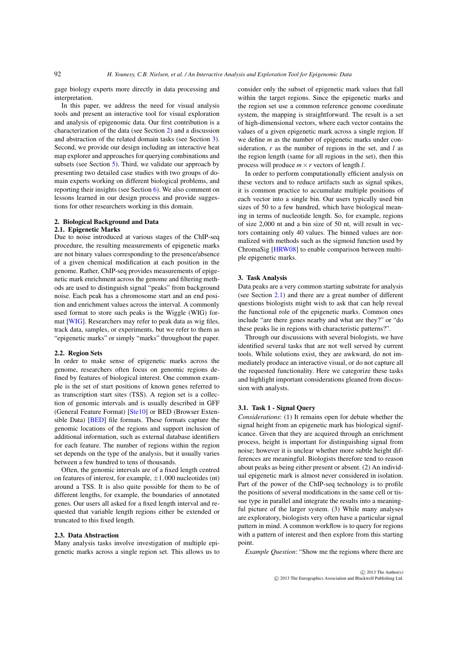<span id="page-1-3"></span>gage biology experts more directly in data processing and interpretation.

In this paper, we address the need for visual analysis tools and present an interactive tool for visual exploration and analysis of epigenomic data. Our first contribution is a characterization of the data (see Section [2\)](#page-1-0) and a discussion and abstraction of the related domain tasks (see Section [3\)](#page-1-1). Second, we provide our design including an interactive heat map explorer and approaches for querying combinations and subsets (see Section [5\)](#page-3-0). Third, we validate our approach by presenting two detailed case studies with two groups of domain experts working on different biological problems, and reporting their insights (see Section [6\)](#page-6-0). We also comment on lessons learned in our design process and provide suggestions for other researchers working in this domain.

# 2. Biological Background and Data

## 2.1. Epigenetic Marks

<span id="page-1-2"></span><span id="page-1-0"></span>Due to noise introduced at various stages of the ChIP-seq procedure, the resulting measurements of epigenetic marks are not binary values corresponding to the presence/absence of a given chemical modification at each position in the genome. Rather, ChIP-seq provides measurements of epigenetic mark enrichment across the genome and filtering methods are used to distinguish signal "peaks" from background noise. Each peak has a chromosome start and an end position and enrichment values across the interval. A commonly used format to store such peaks is the Wiggle (WIG) format [\[WIG\]](#page-9-2). Researchers may refer to peak data as wig files, track data, samples, or experiments, but we refer to them as "epigenetic marks" or simply "marks" throughout the paper.

#### 2.2. Region Sets

In order to make sense of epigenetic marks across the genome, researchers often focus on genomic regions defined by features of biological interest. One common example is the set of start positions of known genes referred to as transcription start sites (TSS). A region set is a collection of genomic intervals and is usually described in GFF (General Feature Format) [\[Ste10\]](#page-9-3) or BED (Browser Extensible Data) [\[BED\]](#page-9-4) file formats. These formats capture the genomic locations of the regions and support inclusion of additional information, such as external database identifiers for each feature. The number of regions within the region set depends on the type of the analysis, but it usually varies between a few hundred to tens of thousands.

Often, the genomic intervals are of a fixed length centred on features of interest, for example,  $\pm 1,000$  nucleotides (nt) around a TSS. It is also quite possible for them to be of different lengths, for example, the boundaries of annotated genes. Our users all asked for a fixed length interval and requested that variable length regions either be extended or truncated to this fixed length.

#### 2.3. Data Abstraction

Many analysis tasks involve investigation of multiple epigenetic marks across a single region set. This allows us to consider only the subset of epigenetic mark values that fall within the target regions. Since the epigenetic marks and the region set use a common reference genome coordinate system, the mapping is straightforward. The result is a set of high-dimensional vectors, where each vector contains the values of a given epigenetic mark across a single region. If we define *m* as the number of epigenetic marks under consideration, *r* as the number of regions in the set, and *l* as the region length (same for all regions in the set), then this process will produce *m*×*r* vectors of length *l*.

In order to perform computationally efficient analysis on these vectors and to reduce artifacts such as signal spikes, it is common practice to accumulate multiple positions of each vector into a single bin. Our users typically used bin sizes of 50 to a few hundred, which have biological meaning in terms of nucleotide length. So, for example, regions of size 2,000 nt and a bin size of 50 nt, will result in vectors containing only 40 values. The binned values are normalized with methods such as the sigmoid function used by ChromaSig [\[HRW08\]](#page-9-5) to enable comparison between multiple epigenetic marks.

#### 3. Task Analysis

<span id="page-1-1"></span>Data peaks are a very common starting substrate for analysis (see Section [2.1\)](#page-1-2) and there are a great number of different questions biologists might wish to ask that can help reveal the functional role of the epigenetic marks. Common ones include "are there genes nearby and what are they?" or "do these peaks lie in regions with characteristic patterns?".

Through our discussions with several biologists, we have identified several tasks that are not well served by current tools. While solutions exist, they are awkward, do not immediately produce an interactive visual, or do not capture all the requested functionality. Here we categorize these tasks and highlight important considerations gleaned from discussion with analysts.

## 3.1. Task 1 - Signal Query

*Considerations*: (1) It remains open for debate whether the signal height from an epigenetic mark has biological significance. Given that they are acquired through an enrichment process, height is important for distinguishing signal from noise; however it is unclear whether more subtle height differences are meaningful. Biologists therefore tend to reason about peaks as being either present or absent. (2) An individual epigenetic mark is almost never considered in isolation. Part of the power of the ChIP-seq technology is to profile the positions of several modifications in the same cell or tissue type in parallel and integrate the results into a meaningful picture of the larger system. (3) While many analyses are exploratory, biologists very often have a particular signal pattern in mind. A common workflow is to query for regions with a pattern of interest and then explore from this starting point.

*Example Question*: "Show me the regions where there are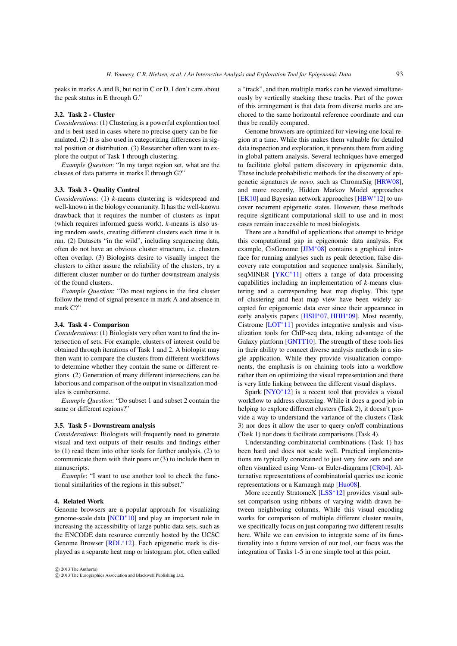<span id="page-2-0"></span>peaks in marks A and B, but not in C or D. I don't care about the peak status in E through G."

## 3.2. Task 2 - Cluster

*Considerations*: (1) Clustering is a powerful exploration tool and is best used in cases where no precise query can be formulated. (2) It is also used in categorizing differences in signal position or distribution. (3) Researcher often want to explore the output of Task 1 through clustering.

*Example Question*: "In my target region set, what are the classes of data patterns in marks E through G?"

## 3.3. Task 3 - Quality Control

*Considerations*: (1) *k*-means clustering is widespread and well-known in the biology community. It has the well-known drawback that it requires the number of clusters as input (which requires informed guess work). *k*-means is also using random seeds, creating different clusters each time it is run. (2) Datasets "in the wild", including sequencing data, often do not have an obvious cluster structure, i.e. clusters often overlap. (3) Biologists desire to visually inspect the clusters to either assure the reliability of the clusters, try a different cluster number or do further downstream analysis of the found clusters.

*Example Question*: "Do most regions in the first cluster follow the trend of signal presence in mark A and absence in mark C?"

#### 3.4. Task 4 - Comparison

*Considerations*: (1) Biologists very often want to find the intersection of sets. For example, clusters of interest could be obtained through iterations of Task 1 and 2. A biologist may then want to compare the clusters from different workflows to determine whether they contain the same or different regions. (2) Generation of many different intersections can be laborious and comparison of the output in visualization modules is cumbersome.

*Example Question*: "Do subset 1 and subset 2 contain the same or different regions?"

#### 3.5. Task 5 - Downstream analysis

*Considerations*: Biologists will frequently need to generate visual and text outputs of their results and findings either to (1) read them into other tools for further analysis, (2) to communicate them with their peers or (3) to include them in manuscripts

*Example*: "I want to use another tool to check the functional similarities of the regions in this subset."

#### 4. Related Work

Genome browsers are a popular approach for visualizing genome-scale data [\[NCD](#page-9-6)∗10] and play an important role in increasing the accessibility of large public data sets, such as the ENCODE data resource currently hosted by the UCSC Genome Browser [\[RDL](#page-9-7)∗12]. Each epigenetic mark is displayed as a separate heat map or histogram plot, often called a "track", and then multiple marks can be viewed simultaneously by vertically stacking these tracks. Part of the power of this arrangement is that data from diverse marks are anchored to the same horizontal reference coordinate and can thus be readily compared.

Genome browsers are optimized for viewing one local region at a time. While this makes them valuable for detailed data inspection and exploration, it prevents them from aiding in global pattern analysis. Several techniques have emerged to facilitate global pattern discovery in epigenomic data. These include probabilistic methods for the discovery of epigenetic signatures *de novo*, such as ChromaSig [\[HRW08\]](#page-9-5), and more recently, Hidden Markov Model approaches [\[EK10\]](#page-9-8) and Bayesian network approaches [\[HBW](#page-9-9)∗12] to uncover recurrent epigenetic states. However, these methods require significant computational skill to use and in most cases remain inaccessible to most biologists.

There are a handful of applications that attempt to bridge this computational gap in epigenomic data analysis. For example, CisGenome [\[JJM](#page-9-10)∗08] contains a graphical interface for running analyses such as peak detection, false discovery rate computation and sequence analysis. Similarly, seqMINER [\[YKC](#page-9-11)<sup>\*</sup>11] offers a range of data processing capabilities including an implementation of *k*-means clustering and a corresponding heat map display. This type of clustering and heat map view have been widely accepted for epigenomic data ever since their appearance in early analysis papers [\[HSH](#page-9-12)<sup>∗</sup>07, [HHH](#page-9-13)<sup>∗</sup>09]. Most recently, Cistrome [\[LOT](#page-9-14)∗11] provides integrative analysis and visualization tools for ChIP-seq data, taking advantage of the Galaxy platform [\[GNTT10\]](#page-9-15). The strength of these tools lies in their ability to connect diverse analysis methods in a single application. While they provide visualization components, the emphasis is on chaining tools into a workflow rather than on optimizing the visual representation and there is very little linking between the different visual displays.

Spark  $\text{INYO}^*121$  is a recent tool that provides a visual workflow to address clustering. While it does a good job in helping to explore different clusters (Task 2), it doesn't provide a way to understand the variance of the clusters (Task 3) nor does it allow the user to query on/off combinations (Task 1) nor does it facilitate comparisons (Task 4).

Understanding combinatorial combinations (Task 1) has been hard and does not scale well. Practical implementations are typically constrained to just very few sets and are often visualized using Venn- or Euler-diagrams [\[CR04\]](#page-9-17). Alternative representations of combinatorial queries use iconic representations or a Karnaugh map [\[Huo08\]](#page-9-18).

More recently StratomeX [\[LSS](#page-9-19)<sup>\*</sup>12] provides visual subset comparison using ribbons of varying width drawn between neighboring columns. While this visual encoding works for comparison of multiple different cluster results, we specifically focus on just comparing two different results here. While we can envision to integrate some of its functionality into a future version of our tool, our focus was the integration of Tasks 1-5 in one simple tool at this point.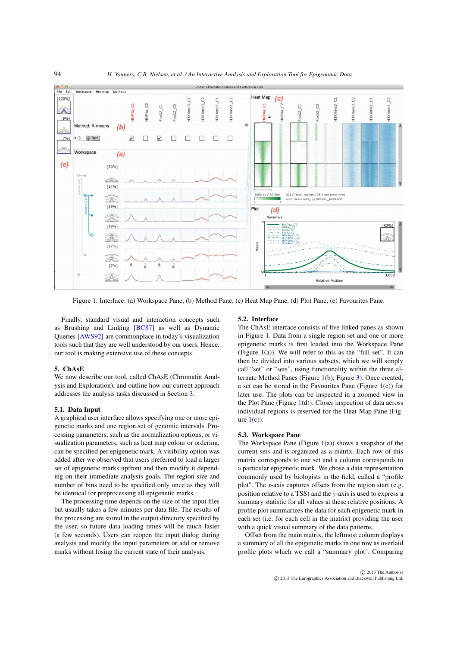<span id="page-3-2"></span><span id="page-3-1"></span>

Figure 1: Interface: (a) Workspace Pane, (b) Method Pane, (c) Heat Map Pane, (d) Plot Pane, (e) Favourites Pane.

Finally, standard visual and interaction concepts such as Brushing and Linking [\[BC87\]](#page-9-20) as well as Dynamic Queries [\[AWS92\]](#page-9-21) are commonplace in today's visualization tools such that they are well understood by our users. Hence, our tool is making extensive use of these concepts.

## 5. ChAsE

<span id="page-3-0"></span>We now describe our tool, called ChAsE (Chromatin Analysis and Exploration), and outline how our current approach addresses the analysis tasks discussed in Section [3.](#page-1-1)

## 5.1. Data Input

A graphical user interface allows specifying one or more epigenetic marks and one region set of genomic intervals. Processing parameters, such as the normalization options, or visualization parameters, such as heat map colour or ordering, can be specified per epigenetic mark. A visibility option was added after we observed that users preferred to load a larger set of epigenetic marks upfront and then modify it depending on their immediate analysis goals. The region size and number of bins need to be specified only once as they will be identical for preprocessing all epigenetic marks.

The processing time depends on the size of the input files but usually takes a few minutes per data file. The results of the processing are stored in the output directory specified by the user, so future data loading times will be much faster (a few seconds). Users can reopen the input dialog during analysis and modify the input parameters or add or remove marks without losing the current state of their analysis.

#### 5.2. Interface

The ChAsE interface consists of five linked panes as shown in Figure [1.](#page-3-1) Data from a single region set and one or more epigenetic marks is first loaded into the Workspace Pane (Figure  $1(a)$  $1(a)$ ). We will refer to this as the "full set". It can then be divided into various subsets, which we will simply call "set" or "sets", using functionality within the three alternate Method Panes (Figure [1\(](#page-3-1)b), Figure [3\)](#page-4-0). Once created, a set can be stored in the Favourites Pane (Figure [1\(](#page-3-1)e)) for later use. The plots can be inspected in a zoomed view in the Plot Pane (Figure  $1(d)$  $1(d)$ ). Closer inspection of data across individual regions is reserved for the Heat Map Pane (Figure  $1(c)$  $1(c)$ ).

#### 5.3. Workspace Pane

The Workspace Pane (Figure  $1(a)$  $1(a)$ ) shows a snapshot of the current sets and is organized as a matrix. Each row of this matrix corresponds to one set and a column corresponds to a particular epigenetic mark. We chose a data representation commonly used by biologists in the field, called a "profile plot". The *x*-axis captures offsets from the region start (e.g. position relative to a TSS) and the *y*-axis is used to express a summary statistic for all values at these relative positions. A profile plot summarizes the data for each epigenetic mark in each set (i.e. for each cell in the matrix) providing the user with a quick visual summary of the data patterns.

Offset from the main matrix, the leftmost column displays a summary of all the epigenetic marks in one row as overlaid profile plots which we call a "summary plot". Comparing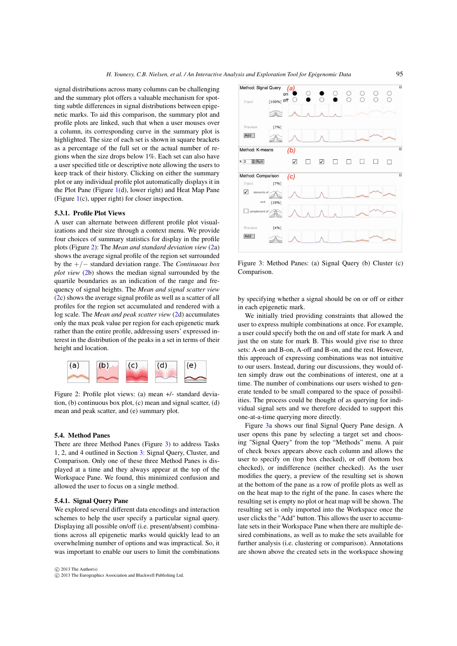signal distributions across many columns can be challenging and the summary plot offers a valuable mechanism for spotting subtle differences in signal distributions between epigenetic marks. To aid this comparison, the summary plot and profile plots are linked, such that when a user mouses over a column, its corresponding curve in the summary plot is highlighted. The size of each set is shown in square brackets as a percentage of the full set or the actual number of regions when the size drops below 1%. Each set can also have a user specified title or descriptive note allowing the users to keep track of their history. Clicking on either the summary plot or any individual profile plot automatically displays it in the Plot Pane (Figure [1\(](#page-3-1)d), lower right) and Heat Map Pane (Figure [1\(](#page-3-1)c), upper right) for closer inspection.

## 5.3.1. Profile Plot Views

A user can alternate between different profile plot visualizations and their size through a context menu. We provide four choices of summary statistics for display in the profile plots (Figure [2\)](#page-4-1): The *Mean and standard deviation view* [\(2a](#page-4-1)) shows the average signal profile of the region set surrounded by the +/− standard deviation range. The *Continuous box plot view* [\(2b](#page-4-1)) shows the median signal surrounded by the quartile boundaries as an indication of the range and frequency of signal heights. The *Mean and signal scatter view* [\(2c](#page-4-1)) shows the average signal profile as well as a scatter of all profiles for the region set accumulated and rendered with a log scale. The *Mean and peak scatter view* [\(2d](#page-4-1)) accumulates only the max peak value per region for each epigenetic mark rather than the entire profile, addressing users' expressed interest in the distribution of the peaks in a set in terms of their height and location.

<span id="page-4-1"></span>

Figure 2: Profile plot views: (a) mean +/- standard deviation, (b) continuous box plot, (c) mean and signal scatter, (d) mean and peak scatter, and (e) summary plot.

## 5.4. Method Panes

There are three Method Panes (Figure [3\)](#page-4-0) to address Tasks 1, 2, and 4 outlined in Section [3:](#page-1-1) Signal Query, Cluster, and Comparison. Only one of these three Method Panes is displayed at a time and they always appear at the top of the Workspace Pane. We found, this minimized confusion and allowed the user to focus on a single method.

#### 5.4.1. Signal Query Pane

We explored several different data encodings and interaction schemes to help the user specify a particular signal query. Displaying all possible on/off (i.e. present/absent) combinations across all epigenetic marks would quickly lead to an overwhelming number of options and was impractical. So, it was important to enable our users to limit the combinations



<span id="page-4-0"></span>

Figure 3: Method Panes: (a) Signal Query (b) Cluster (c) Comparison.

by specifying whether a signal should be on or off or either in each epigenetic mark.

We initially tried providing constraints that allowed the user to express multiple combinations at once. For example, a user could specify both the on and off state for mark A and just the on state for mark B. This would give rise to three sets: A-on and B-on, A-off and B-on, and the rest. However, this approach of expressing combinations was not intuitive to our users. Instead, during our discussions, they would often simply draw out the combinations of interest, one at a time. The number of combinations our users wished to generate tended to be small compared to the space of possibilities. The process could be thought of as querying for individual signal sets and we therefore decided to support this one-at-a-time querying more directly.

Figure [3a](#page-4-0) shows our final Signal Query Pane design. A user opens this pane by selecting a target set and choosing "Signal Query" from the top "Methods" menu. A pair of check boxes appears above each column and allows the user to specify on (top box checked), or off (bottom box checked), or indifference (neither checked). As the user modifies the query, a preview of the resulting set is shown at the bottom of the pane as a row of profile plots as well as on the heat map to the right of the pane. In cases where the resulting set is empty no plot or heat map will be shown. The resulting set is only imported into the Workspace once the user clicks the "Add" button. This allows the user to accumulate sets in their Workspace Pane when there are multiple desired combinations, as well as to make the sets available for further analysis (i.e. clustering or comparison). Annotations are shown above the created sets in the workspace showing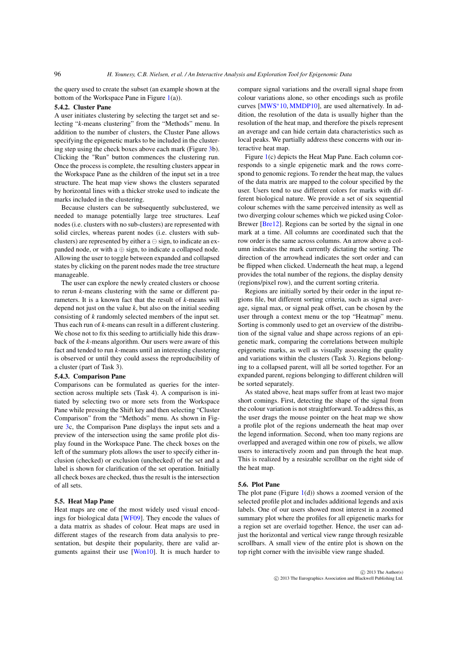<span id="page-5-0"></span>the query used to create the subset (an example shown at the bottom of the Workspace Pane in Figure  $1(a)$  $1(a)$ ).

## 5.4.2. Cluster Pane

A user initiates clustering by selecting the target set and selecting "*k*-means clustering" from the "Methods" menu. In addition to the number of clusters, the Cluster Pane allows specifying the epigenetic marks to be included in the clustering step using the check boxes above each mark (Figure [3b](#page-4-0)). Clicking the "Run" button commences the clustering run. Once the process is complete, the resulting clusters appear in the Workspace Pane as the children of the input set in a tree structure. The heat map view shows the clusters separated by horizontal lines with a thicker stroke used to indicate the marks included in the clustering.

Because clusters can be subsequently subclustered, we needed to manage potentially large tree structures. Leaf nodes (i.e. clusters with no sub-clusters) are represented with solid circles, whereas parent nodes (i.e. clusters with subclusters) are represented by either  $a \ominus$  sign, to indicate an expanded node, or with  $a \oplus$  sign, to indicate a collapsed node. Allowing the user to toggle between expanded and collapsed states by clicking on the parent nodes made the tree structure manageable.

The user can explore the newly created clusters or choose to rerun *k*-means clustering with the same or different parameters. It is a known fact that the result of *k*-means will depend not just on the value  $k$ , but also on the initial seeding consisting of *k* randomly selected members of the input set. Thus each run of *k*-means can result in a different clustering. We chose not to fix this seeding to artificially hide this drawback of the *k*-means algorithm. Our users were aware of this fact and tended to run *k*-means until an interesting clustering is observed or until they could assess the reproducibility of a cluster (part of Task 3).

#### 5.4.3. Comparison Pane

Comparisons can be formulated as queries for the intersection across multiple sets (Task 4). A comparison is initiated by selecting two or more sets from the Workspace Pane while pressing the Shift key and then selecting "Cluster Comparison" from the "Methods" menu. As shown in Figure [3c](#page-4-0), the Comparison Pane displays the input sets and a preview of the intersection using the same profile plot display found in the Workspace Pane. The check boxes on the left of the summary plots allows the user to specify either inclusion (checked) or exclusion (unchecked) of the set and a label is shown for clarification of the set operation. Initially all check boxes are checked, thus the result is the intersection of all sets.

## 5.5. Heat Map Pane

Heat maps are one of the most widely used visual encodings for biological data [\[WF09\]](#page-9-22). They encode the values of a data matrix as shades of colour. Heat maps are used in different stages of the research from data analysis to presentation, but despite their popularity, there are valid arguments against their use [\[Won10\]](#page-9-23). It is much harder to compare signal variations and the overall signal shape from colour variations alone, so other encodings such as profile curves [\[MWS](#page-9-24)∗10, [MMDP10\]](#page-9-25), are used alternatively. In addition, the resolution of the data is usually higher than the resolution of the heat map, and therefore the pixels represent an average and can hide certain data characteristics such as local peaks. We partially address these concerns with our interactive heat map.

Figure [1\(](#page-3-1)c) depicts the Heat Map Pane. Each column corresponds to a single epigenetic mark and the rows correspond to genomic regions. To render the heat map, the values of the data matrix are mapped to the colour specified by the user. Users tend to use different colors for marks with different biological nature. We provide a set of six sequential colour schemes with the same perceived intensity as well as two diverging colour schemes which we picked using Color-Brewer [\[Bre12\]](#page-9-26). Regions can be sorted by the signal in one mark at a time. All columns are coordinated such that the row order is the same across columns. An arrow above a column indicates the mark currently dictating the sorting. The direction of the arrowhead indicates the sort order and can be flipped when clicked. Underneath the heat map, a legend provides the total number of the regions, the display density (regions/pixel row), and the current sorting criteria.

Regions are initially sorted by their order in the input regions file, but different sorting criteria, such as signal average, signal max, or signal peak offset, can be chosen by the user through a context menu or the top "Heatmap" menu. Sorting is commonly used to get an overview of the distribution of the signal value and shape across regions of an epigenetic mark, comparing the correlations between multiple epigenetic marks, as well as visually assessing the quality and variations within the clusters (Task 3). Regions belonging to a collapsed parent, will all be sorted together. For an expanded parent, regions belonging to different children will be sorted separately.

As stated above, heat maps suffer from at least two major short comings. First, detecting the shape of the signal from the colour variation is not straightforward. To address this, as the user drags the mouse pointer on the heat map we show a profile plot of the regions underneath the heat map over the legend information. Second, when too many regions are overlapped and averaged within one row of pixels, we allow users to interactively zoom and pan through the heat map. This is realized by a resizable scrollbar on the right side of the heat map.

## 5.6. Plot Pane

The plot pane (Figure  $1(d)$  $1(d)$ ) shows a zoomed version of the selected profile plot and includes additional legends and axis labels. One of our users showed most interest in a zoomed summary plot where the profiles for all epigenetic marks for a region set are overlaid together. Hence, the user can adjust the horizontal and vertical view range through resizable scrollbars. A small view of the entire plot is shown on the top right corner with the invisible view range shaded.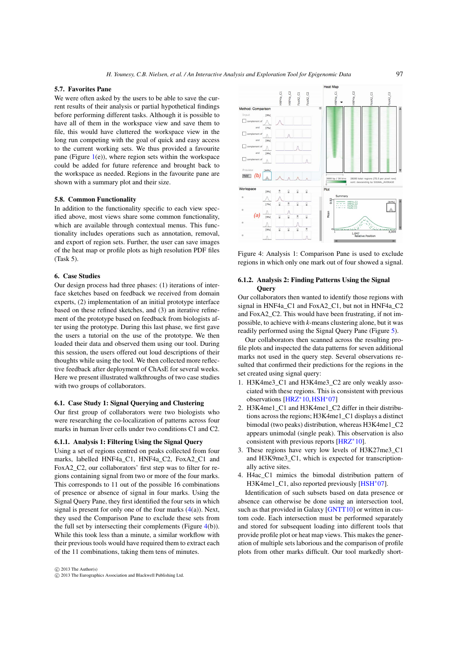## <span id="page-6-2"></span>5.7. Favorites Pane

We were often asked by the users to be able to save the current results of their analysis or partial hypothetical findings before performing different tasks. Although it is possible to have all of them in the workspace view and save them to file, this would have cluttered the workspace view in the long run competing with the goal of quick and easy access to the current working sets. We thus provided a favourite pane (Figure  $1(e)$  $1(e)$ ), where region sets within the workspace could be added for future reference and brought back to the workspace as needed. Regions in the favourite pane are shown with a summary plot and their size.

#### 5.8. Common Functionality

In addition to the functionality specific to each view specified above, most views share some common functionality, which are available through contextual menus. This functionality includes operations such as annotation, removal, and export of region sets. Further, the user can save images of the heat map or profile plots as high resolution PDF files (Task 5).

## 6. Case Studies

<span id="page-6-0"></span>Our design process had three phases: (1) iterations of interface sketches based on feedback we received from domain experts, (2) implementation of an initial prototype interface based on these refined sketches, and (3) an iterative refinement of the prototype based on feedback from biologists after using the prototype. During this last phase, we first gave the users a tutorial on the use of the prototype. We then loaded their data and observed them using our tool. During this session, the users offered out loud descriptions of their thoughts while using the tool. We then collected more reflective feedback after deployment of ChAsE for several weeks. Here we present illustrated walkthroughs of two case studies with two groups of collaborators.

#### 6.1. Case Study 1: Signal Querying and Clustering

Our first group of collaborators were two biologists who were researching the co-localization of patterns across four marks in human liver cells under two conditions C1 and C2.

#### 6.1.1. Analysis 1: Filtering Using the Signal Query

Using a set of regions centred on peaks collected from four marks, labelled HNF4a\_C1, HNF4a\_C2, FoxA2\_C1 and FoxA2 C2, our collaborators' first step was to filter for regions containing signal from two or more of the four marks. This corresponds to 11 out of the possible 16 combinations of presence or absence of signal in four marks. Using the Signal Query Pane, they first identified the four sets in which signal is present for only one of the four marks  $(4(a))$  $(4(a))$ . Next, they used the Comparison Pane to exclude these sets from the full set by intersecting their complements (Figure [4\(](#page-6-1)b)). While this took less than a minute, a similar workflow with their previous tools would have required them to extract each of the 11 combinations, taking them tens of minutes.



<span id="page-6-1"></span>

Figure 4: Analysis 1: Comparison Pane is used to exclude regions in which only one mark out of four showed a signal.

## 6.1.2. Analysis 2: Finding Patterns Using the Signal **Ouerv**

Our collaborators then wanted to identify those regions with signal in HNF4a\_C1 and FoxA2\_C1, but not in HNF4a\_C2 and FoxA2\_C2. This would have been frustrating, if not impossible, to achieve with *k*-means clustering alone, but it was readily performed using the Signal Query Pane (Figure [5\)](#page-7-0).

Our collaborators then scanned across the resulting profile plots and inspected the data patterns for seven additional marks not used in the query step. Several observations resulted that confirmed their predictions for the regions in the set created using signal query:

- 1. H3K4me3\_C1 and H3K4me3\_C2 are only weakly associated with these regions. This is consistent with previous observations [\[HRZ](#page-9-27)∗10,[HSH](#page-9-12)∗07]
- 2. H3K4me1\_C1 and H3K4me1\_C2 differ in their distributions across the regions; H3K4me1\_C1 displays a distinct bimodal (two peaks) distribution, whereas H3K4me1\_C2 appears unimodal (single peak). This observation is also consistent with previous reports [\[HRZ](#page-9-27)∗10].
- 3. These regions have very low levels of H3K27me3\_C1 and H3K9me3\_C1, which is expected for transcriptionally active sites.
- 4. H4ac\_C1 mimics the bimodal distribution pattern of H3K4me1\_C1, also reported previously [\[HSH](#page-9-12)∗07].

Identification of such subsets based on data presence or absence can otherwise be done using an intersection tool, such as that provided in Galaxy [\[GNTT10\]](#page-9-15) or written in custom code. Each intersection must be performed separately and stored for subsequent loading into different tools that provide profile plot or heat map views. This makes the generation of multiple sets laborious and the comparison of profile plots from other marks difficult. Our tool markedly short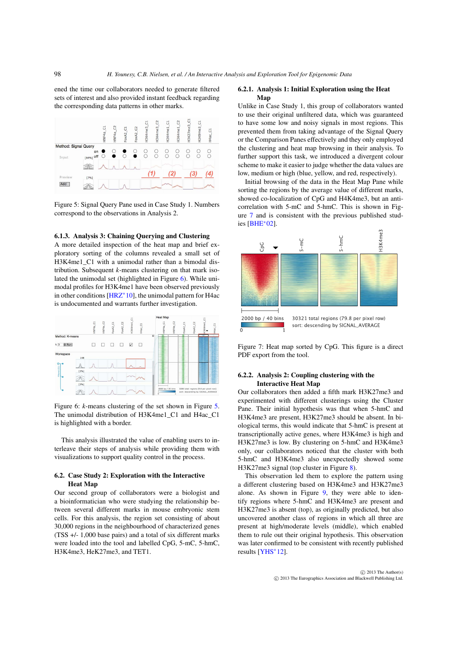<span id="page-7-3"></span>ened the time our collaborators needed to generate filtered sets of interest and also provided instant feedback regarding the corresponding data patterns in other marks.

<span id="page-7-0"></span>

Figure 5: Signal Query Pane used in Case Study 1. Numbers correspond to the observations in Analysis 2.

#### 6.1.3. Analysis 3: Chaining Querying and Clustering

A more detailed inspection of the heat map and brief exploratory sorting of the columns revealed a small set of H3K4me1\_C1 with a unimodal rather than a bimodal distribution. Subsequent *k*-means clustering on that mark isolated the unimodal set (highlighted in Figure [6\)](#page-7-1). While unimodal profiles for H3K4me1 have been observed previously in other conditions [\[HRZ](#page-9-27)∗10], the unimodal pattern for H4ac is undocumented and warrants further investigation.

<span id="page-7-1"></span>

Figure 6: *k*-means clustering of the set shown in Figure [5.](#page-7-0) The unimodal distribution of H3K4me1\_C1 and H4ac\_C1 is highlighted with a border.

This analysis illustrated the value of enabling users to interleave their steps of analysis while providing them with visualizations to support quality control in the process.

## 6.2. Case Study 2: Exploration with the Interactive Heat Map

Our second group of collaborators were a biologist and a bioinformatician who were studying the relationship between several different marks in mouse embryonic stem cells. For this analysis, the region set consisting of about 30,000 regions in the neighbourhood of characterized genes (TSS +/- 1,000 base pairs) and a total of six different marks were loaded into the tool and labelled CpG, 5-mC, 5-hmC, H3K4me3, HeK27me3, and TET1.

#### 6.2.1. Analysis 1: Initial Exploration using the Heat Map

Unlike in Case Study 1, this group of collaborators wanted to use their original unfiltered data, which was guaranteed to have some low and noisy signals in most regions. This prevented them from taking advantage of the Signal Query or the Comparison Panes effectively and they only employed the clustering and heat map browsing in their analysis. To further support this task, we introduced a divergent colour scheme to make it easier to judge whether the data values are low, medium or high (blue, yellow, and red, respectively).

Initial browsing of the data in the Heat Map Pane while sorting the regions by the average value of different marks, showed co-localization of CpG and H4K4me3, but an anticorrelation with 5-mC and 5-hmC. This is shown in Figure [7](#page-7-2) and is consistent with the previous published studies [\[BHE](#page-9-28)∗02].

<span id="page-7-2"></span>

Figure 7: Heat map sorted by CpG. This figure is a direct PDF export from the tool.

# 6.2.2. Analysis 2: Coupling clustering with the Interactive Heat Map

Our collaborators then added a fifth mark H3K27me3 and experimented with different clusterings using the Cluster Pane. Their initial hypothesis was that when 5-hmC and H3K4me3 are present, H3K27me3 should be absent. In biological terms, this would indicate that 5-hmC is present at transcriptionally active genes, where H3K4me3 is high and H3K27me3 is low. By clustering on 5-hmC and H3K4me3 only, our collaborators noticed that the cluster with both 5-hmC and H3K4me3 also unexpectedly showed some H3K27me3 signal (top cluster in Figure [8\)](#page-8-0).

This observation led them to explore the pattern using a different clustering based on H3K4me3 and H3K27me3 alone. As shown in Figure [9,](#page-8-1) they were able to identify regions where 5-hmC and H3K4me3 are present and H3K27me3 is absent (top), as originally predicted, but also uncovered another class of regions in which all three are present at high/moderate levels (middle), which enabled them to rule out their original hypothesis. This observation was later confirmed to be consistent with recently published results [\[YHS](#page-9-29)∗12].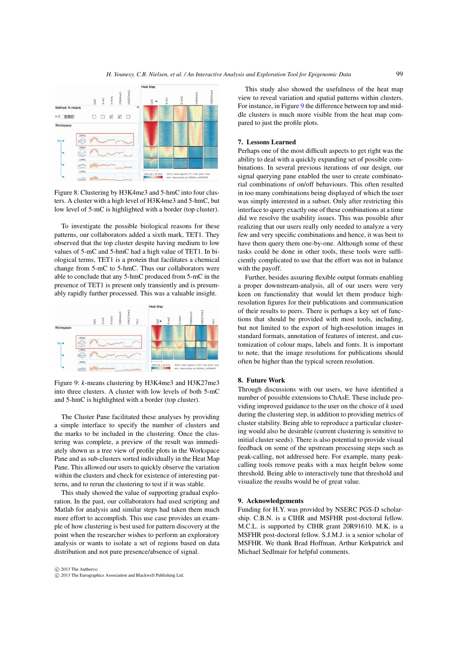*H. Younesy, C.B. Nielsen, et al. / An Interactive Analysis and Exploration Tool for Epigenomic Data*

<span id="page-8-0"></span>

Figure 8: Clustering by H3K4me3 and 5-hmC into four clusters. A cluster with a high level of H3K4me3 and 5-hmC, but low level of 5-mC is highlighted with a border (top cluster).

To investigate the possible biological reasons for these patterns, our collaborators added a sixth mark, TET1. They observed that the top cluster despite having medium to low values of 5-mC and 5-hmC had a high value of TET1. In biological terms, TET1 is a protein that facilitates a chemical change from 5-mC to 5-hmC. Thus our collaborators were able to conclude that any 5-hmC produced from 5-mC in the presence of TET1 is present only transiently and is presumably rapidly further processed. This was a valuable insight.

<span id="page-8-1"></span>

Figure 9: *k*-means clustering by H3K4me3 and H3K27me3 into three clusters. A cluster with low levels of both 5-mC and 5-hmC is highlighted with a border (top cluster).

The Cluster Pane facilitated these analyses by providing a simple interface to specify the number of clusters and the marks to be included in the clustering. Once the clustering was complete, a preview of the result was immediately shown as a tree view of profile plots in the Workspace Pane and as sub-clusters sorted individually in the Heat Map Pane. This allowed our users to quickly observe the variation within the clusters and check for existence of interesting patterns, and to rerun the clustering to test if it was stable.

This study showed the value of supporting gradual exploration. In the past, our collaborators had used scripting and Matlab for analysis and similar steps had taken them much more effort to accomplish. This use case provides an example of how clustering is best used for pattern discovery at the point when the researcher wishes to perform an exploratory analysis or wants to isolate a set of regions based on data distribution and not pure presence/absence of signal.

 c 2013 The Author(s) c 2013 The Eurographics Association and Blackwell Publishing Ltd.

This study also showed the usefulness of the heat map view to reveal variation and spatial patterns within clusters. For instance, in Figure [9](#page-8-1) the difference between top and middle clusters is much more visible from the heat map compared to just the profile plots.

#### 7. Lessons Learned

Perhaps one of the most difficult aspects to get right was the ability to deal with a quickly expanding set of possible combinations. In several previous iterations of our design, our signal querying pane enabled the user to create combinatorial combinations of on/off behaviours. This often resulted in too many combinations being displayed of which the user was simply interested in a subset. Only after restricting this interface to query exactly one of these combinations at a time did we resolve the usability issues. This was possible after realizing that our users really only needed to analyze a very few and very specific combinations and hence, it was best to have them query them one-by-one. Although some of these tasks could be done in other tools, these tools were sufficiently complicated to use that the effort was not in balance with the payoff.

Further, besides assuring flexible output formats enabling a proper downstream-analysis, all of our users were very keen on functionality that would let them produce highresolution figures for their publications and communication of their results to peers. There is perhaps a key set of functions that should be provided with most tools, including, but not limited to the export of high-resolution images in standard formats, annotation of features of interest, and customization of colour maps, labels and fonts. It is important to note, that the image resolutions for publications should often be higher than the typical screen resolution.

#### 8. Future Work

Through discussions with our users, we have identified a number of possible extensions to ChAsE. These include providing improved guidance to the user on the choice of *k* used during the clustering step, in addition to providing metrics of cluster stability. Being able to reproduce a particular clustering would also be desirable (current clustering is sensitive to initial cluster seeds). There is also potential to provide visual feedback on some of the upstream processing steps such as peak-calling, not addressed here. For example, many peakcalling tools remove peaks with a max height below some threshold. Being able to interactively tune that threshold and visualize the results would be of great value.

#### 9. Acknowledgements

Funding for H.Y. was provided by NSERC PGS-D scholarship. C.B.N. is a CIHR and MSFHR post-doctoral fellow. M.C.L. is supported by CIHR grant 20R91610. M.K. is a MSFHR post-doctoral fellow. S.J.M.J. is a senior scholar of MSFHR. We thank Brad Hoffman, Arthur Kirkpatrick and Michael Sedlmair for helpful comments.